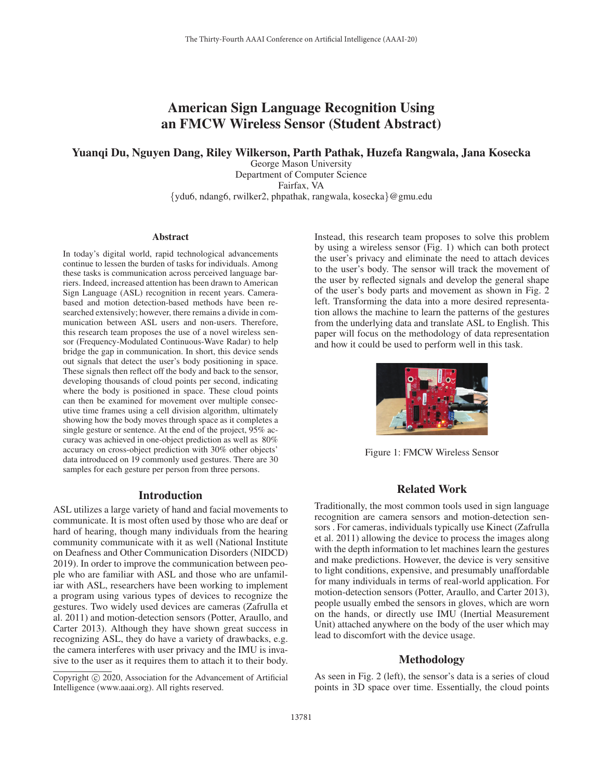# American Sign Language Recognition Using an FMCW Wireless Sensor (Student Abstract)

## Yuanqi Du, Nguyen Dang, Riley Wilkerson, Parth Pathak, Huzefa Rangwala, Jana Kosecka

George Mason University Department of Computer Science Fairfax, VA {ydu6, ndang6, rwilker2, phpathak, rangwala, kosecka}@gmu.edu

#### Abstract

In today's digital world, rapid technological advancements continue to lessen the burden of tasks for individuals. Among these tasks is communication across perceived language barriers. Indeed, increased attention has been drawn to American Sign Language (ASL) recognition in recent years. Camerabased and motion detection-based methods have been researched extensively; however, there remains a divide in communication between ASL users and non-users. Therefore, this research team proposes the use of a novel wireless sensor (Frequency-Modulated Continuous-Wave Radar) to help bridge the gap in communication. In short, this device sends out signals that detect the user's body positioning in space. These signals then reflect off the body and back to the sensor, developing thousands of cloud points per second, indicating where the body is positioned in space. These cloud points can then be examined for movement over multiple consecutive time frames using a cell division algorithm, ultimately showing how the body moves through space as it completes a single gesture or sentence. At the end of the project, 95% accuracy was achieved in one-object prediction as well as 80% accuracy on cross-object prediction with 30% other objects' data introduced on 19 commonly used gestures. There are 30 samples for each gesture per person from three persons.

#### Introduction

ASL utilizes a large variety of hand and facial movements to communicate. It is most often used by those who are deaf or hard of hearing, though many individuals from the hearing community communicate with it as well (National Institute on Deafness and Other Communication Disorders (NIDCD) 2019). In order to improve the communication between people who are familiar with ASL and those who are unfamiliar with ASL, researchers have been working to implement a program using various types of devices to recognize the gestures. Two widely used devices are cameras (Zafrulla et al. 2011) and motion-detection sensors (Potter, Araullo, and Carter 2013). Although they have shown great success in recognizing ASL, they do have a variety of drawbacks, e.g. the camera interferes with user privacy and the IMU is invasive to the user as it requires them to attach it to their body.

Instead, this research team proposes to solve this problem by using a wireless sensor (Fig. 1) which can both protect the user's privacy and eliminate the need to attach devices to the user's body. The sensor will track the movement of the user by reflected signals and develop the general shape of the user's body parts and movement as shown in Fig. 2 left. Transforming the data into a more desired representation allows the machine to learn the patterns of the gestures from the underlying data and translate ASL to English. This paper will focus on the methodology of data representation and how it could be used to perform well in this task.



Figure 1: FMCW Wireless Sensor

# Related Work

Traditionally, the most common tools used in sign language recognition are camera sensors and motion-detection sensors . For cameras, individuals typically use Kinect (Zafrulla et al. 2011) allowing the device to process the images along with the depth information to let machines learn the gestures and make predictions. However, the device is very sensitive to light conditions, expensive, and presumably unaffordable for many individuals in terms of real-world application. For motion-detection sensors (Potter, Araullo, and Carter 2013), people usually embed the sensors in gloves, which are worn on the hands, or directly use IMU (Inertial Measurement Unit) attached anywhere on the body of the user which may lead to discomfort with the device usage.

## Methodology

As seen in Fig. 2 (left), the sensor's data is a series of cloud points in 3D space over time. Essentially, the cloud points

Copyright  $\odot$  2020, Association for the Advancement of Artificial Intelligence (www.aaai.org). All rights reserved.